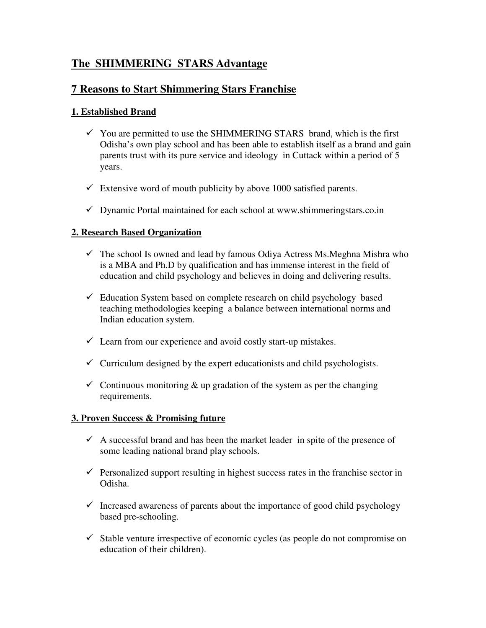# **The SHIMMERING STARS Advantage**

## **7 Reasons to Start Shimmering Stars Franchise**

## **1. Established Brand**

- $\checkmark$  You are permitted to use the SHIMMERING STARS brand, which is the first Odisha's own play school and has been able to establish itself as a brand and gain parents trust with its pure service and ideology in Cuttack within a period of 5 years.
- $\checkmark$  Extensive word of mouth publicity by above 1000 satisfied parents.
- $\checkmark$  Dynamic Portal maintained for each school at www.shimmeringstars.co.in

## **2. Research Based Organization**

- $\checkmark$  The school Is owned and lead by famous Odiya Actress Ms. Meghna Mishra who is a MBA and Ph.D by qualification and has immense interest in the field of education and child psychology and believes in doing and delivering results.
- $\checkmark$  Education System based on complete research on child psychology based teaching methodologies keeping a balance between international norms and Indian education system.
- $\checkmark$  Learn from our experience and avoid costly start-up mistakes.
- $\checkmark$  Curriculum designed by the expert educationists and child psychologists.
- $\checkmark$  Continuous monitoring & up gradation of the system as per the changing requirements.

#### **3. Proven Success & Promising future**

- $\checkmark$  A successful brand and has been the market leader in spite of the presence of some leading national brand play schools.
- $\checkmark$  Personalized support resulting in highest success rates in the franchise sector in Odisha.
- $\checkmark$  Increased awareness of parents about the importance of good child psychology based pre-schooling.
- $\checkmark$  Stable venture irrespective of economic cycles (as people do not compromise on education of their children).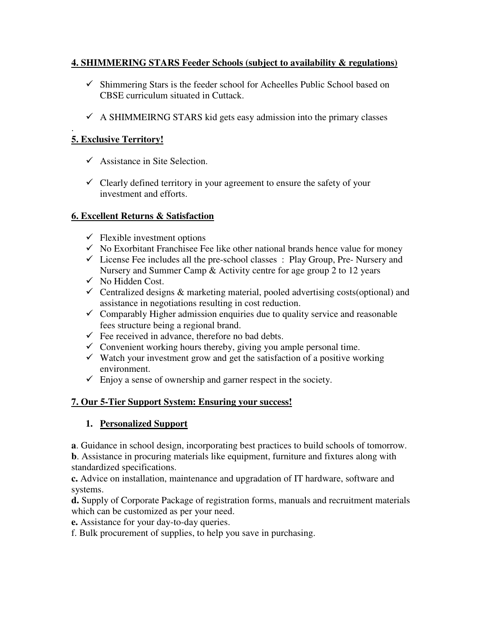## **4. SHIMMERING STARS Feeder Schools (subject to availability & regulations)**

- $\checkmark$  Shimmering Stars is the feeder school for Acheelles Public School based on CBSE curriculum situated in Cuttack.
- $\checkmark$  A SHIMMEIRNG STARS kid gets easy admission into the primary classes

#### . **5. Exclusive Territory!**

- $\checkmark$  Assistance in Site Selection.
- $\checkmark$  Clearly defined territory in your agreement to ensure the safety of your investment and efforts.

## **6. Excellent Returns & Satisfaction**

- $\checkmark$  Flexible investment options
- $\checkmark$  No Exorbitant Franchisee Fee like other national brands hence value for money
- $\checkmark$  License Fee includes all the pre-school classes : Play Group, Pre- Nursery and Nursery and Summer Camp & Activity centre for age group 2 to 12 years
- $\checkmark$  No Hidden Cost.
- $\checkmark$  Centralized designs & marketing material, pooled advertising costs(optional) and assistance in negotiations resulting in cost reduction.
- $\checkmark$  Comparably Higher admission enquiries due to quality service and reasonable fees structure being a regional brand.
- $\checkmark$  Fee received in advance, therefore no bad debts.
- $\checkmark$  Convenient working hours thereby, giving you ample personal time.
- $\checkmark$  Watch your investment grow and get the satisfaction of a positive working environment.
- $\checkmark$  Enjoy a sense of ownership and garner respect in the society.

## **7. Our 5-Tier Support System: Ensuring your success!**

## **1. Personalized Support**

**a**. Guidance in school design, incorporating best practices to build schools of tomorrow.

**b**. Assistance in procuring materials like equipment, furniture and fixtures along with standardized specifications.

**c.** Advice on installation, maintenance and upgradation of IT hardware, software and systems.

**d.** Supply of Corporate Package of registration forms, manuals and recruitment materials which can be customized as per your need.

**e.** Assistance for your day-to-day queries.

f. Bulk procurement of supplies, to help you save in purchasing.